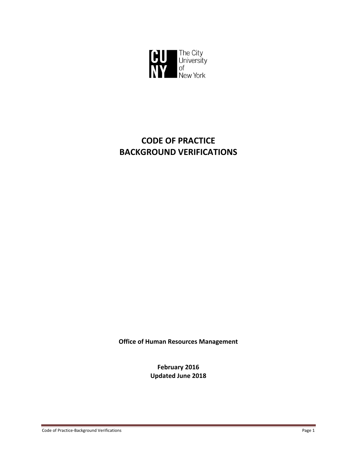

# **CODE OF PRACTICE BACKGROUND VERIFICATIONS**

**Office of Human Resources Management**

**February 2016 Updated June 2018**

Code of Practice‐Background Verifications Page 1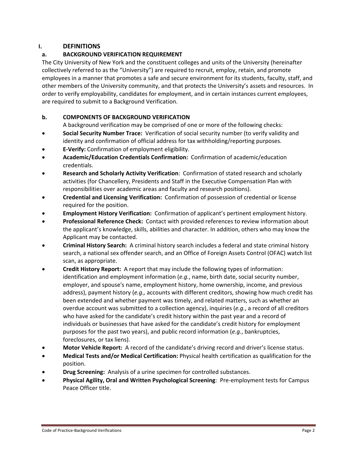# **I. DEFINITIONS**

# **a. BACKGROUND VERIFICATION REQUIREMENT**

The City University of New York and the constituent colleges and units of the University (hereinafter collectively referred to as the "University") are required to recruit, employ, retain, and promote employees in a manner that promotes a safe and secure environment for its students, faculty, staff, and other members of the University community, and that protects the University's assets and resources. In order to verify employability, candidates for employment, and in certain instances current employees, are required to submit to a Background Verification.

# **b. COMPONENTS OF BACKGROUND VERIFICATION**

A background verification may be comprised of one or more of the following checks:

- **Social Security Number Trace:** Verification of social security number (to verify validity and identity and confirmation of official address for tax withholding/reporting purposes.
- **E‐Verify:** Confirmation of employment eligibility.
- **Academic/Education Credentials Confirmation:** Confirmation of academic/education credentials.
- **Research and Scholarly Activity Verification**: Confirmation of stated research and scholarly activities (for Chancellery, Presidents and Staff in the Executive Compensation Plan with responsibilities over academic areas and faculty and research positions).
- **Credential and Licensing Verification:** Confirmation of possession of credential or license required for the position.
- **Employment History Verification:** Confirmation of applicant's pertinent employment history.
- **Professional Reference Check:** Contact with provided references to **r**eview information about the applicant's knowledge, skills, abilities and character. In addition, others who may know the Applicant may be contacted.
- **Criminal History Search:** A criminal history search includes a federal and state criminal history search, a national sex offender search, and an Office of Foreign Assets Control (OFAC) watch list scan, as appropriate.
- **Credit History Report:** A report that may include the following types of information: identification and employment information (*e.g.*, name, birth date, social security number, employer, and spouse's name, employment history, home ownership, income, and previous address), payment history (*e.g.,* accounts with different creditors, showing how much credit has been extended and whether payment was timely, and related matters, such as whether an overdue account was submitted to a collection agency), inquiries (*e.g.*, a record of all creditors who have asked for the candidate's credit history within the past year and a record of individuals or businesses that have asked for the candidate's credit history for employment purposes for the past two years), and public record information (*e.g.*, bankruptcies, foreclosures, or tax liens).
- **Motor Vehicle Report:** A record of the candidate's driving record and driver's license status.
- **Medical Tests and/or Medical Certification:** Physical health certification as qualification for the position.
- **Drug Screening:** Analysis of a urine specimen for controlled substances.
- **Physical Agility, Oral and Written Psychological Screening**: Pre‐employment tests for Campus Peace Officer title.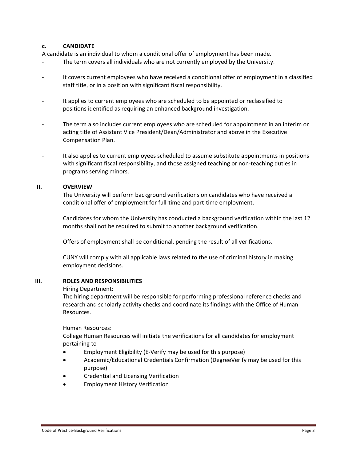## **c. CANDIDATE**

A candidate is an individual to whom a conditional offer of employment has been made.

- The term covers all individuals who are not currently employed by the University.
- ‐ It covers current employees who have received a conditional offer of employment in a classified staff title, or in a position with significant fiscal responsibility.
- It applies to current employees who are scheduled to be appointed or reclassified to positions identified as requiring an enhanced background investigation.
- The term also includes current employees who are scheduled for appointment in an interim or acting title of Assistant Vice President/Dean/Administrator and above in the Executive Compensation Plan.
- ‐ It also applies to current employees scheduled to assume substitute appointments in positions with significant fiscal responsibility, and those assigned teaching or non-teaching duties in programs serving minors.

#### **II. OVERVIEW**

The University will perform background verifications on candidates who have received a conditional offer of employment for full‐time and part‐time employment.

Candidates for whom the University has conducted a background verification within the last 12 months shall not be required to submit to another background verification.

Offers of employment shall be conditional, pending the result of all verifications.

CUNY will comply with all applicable laws related to the use of criminal history in making employment decisions.

#### **III. ROLES AND RESPONSIBILITIES**

#### Hiring Department:

The hiring department will be responsible for performing professional reference checks and research and scholarly activity checks and coordinate its findings with the Office of Human Resources.

#### Human Resources:

College Human Resources will initiate the verifications for all candidates for employment pertaining to

- Employment Eligibility (E‐Verify may be used for this purpose)
- Academic/Educational Credentials Confirmation (DegreeVerify may be used for this purpose)
- Credential and Licensing Verification
- Employment History Verification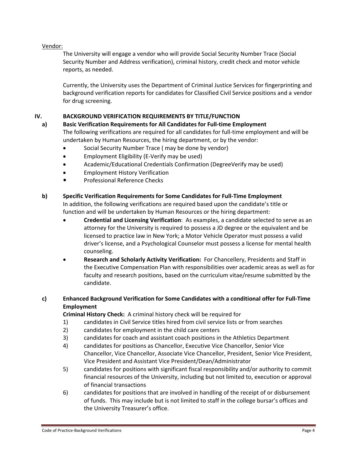### Vendor:

The University will engage a vendor who will provide Social Security Number Trace (Social Security Number and Address verification), criminal history, credit check and motor vehicle reports, as needed.

Currently, the University uses the Department of Criminal Justice Services for fingerprinting and background verification reports for candidates for Classified Civil Service positions and a vendor for drug screening.

# **IV. BACKGROUND VERIFICATION REQUIREMENTS BY TITLE/FUNCTION**

**a) Basic Verification Requirements for All Candidates for Full‐time Employment**

The following verifications are required for all candidates for full‐time employment and will be undertaken by Human Resources, the hiring department, or by the vendor:

- Social Security Number Trace ( may be done by vendor)
- Employment Eligibility (E‐Verify may be used)
- Academic/Educational Credentials Confirmation (DegreeVerify may be used)
- Employment History Verification
- Professional Reference Checks

#### **b) Specific Verification Requirements for Some Candidates for Full‐Time Employment**

In addition, the following verifications are required based upon the candidate's title or function and will be undertaken by Human Resources or the hiring department:

- **Credential and Licensing Verification**: As examples, a candidate selected to serve as an attorney for the University is required to possess a JD degree or the equivalent and be licensed to practice law in New York; a Motor Vehicle Operator must possess a valid driver's license, and a Psychological Counselor must possess a license for mental health counseling.
- **Research and Scholarly Activity Verification:** For Chancellery, Presidents and Staff in the Executive Compensation Plan with responsibilities over academic areas as well as for faculty and research positions, based on the curriculum vitae/resume submitted by the candidate.

# **c) Enhanced Background Verification for Some Candidates with a conditional offer for Full‐Time Employment**

**Criminal History Check:** A criminal history check will be required for

- 1) candidates in Civil Service titles hired from civil service lists or from searches
- 2) candidates for employment in the child care centers
- 3) candidates for coach and assistant coach positions in the Athletics Department
- 4) candidates for positions as Chancellor, Executive Vice Chancellor, Senior Vice Chancellor, Vice Chancellor, Associate Vice Chancellor, President, Senior Vice President, Vice President and Assistant Vice President/Dean/Administrator
- 5) candidates for positions with significant fiscal responsibility and/or authority to commit financial resources of the University, including but not limited to, execution or approval of financial transactions
- 6) candidates for positions that are involved in handling of the receipt of or disbursement of funds. This may include but is not limited to staff in the college bursar's offices and the University Treasurer's office.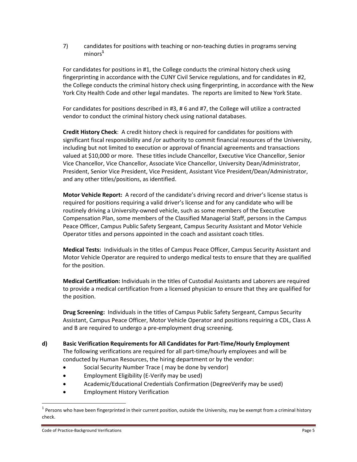7) candidates for positions with teaching or non‐teaching duties in programs serving minors**<sup>1</sup>**

For candidates for positions in #1, the College conducts the criminal history check using fingerprinting in accordance with the CUNY Civil Service regulations, and for candidates in #2, the College conducts the criminal history check using fingerprinting, in accordance with the New York City Health Code and other legal mandates. The reports are limited to New York State.

For candidates for positions described in #3, # 6 and #7, the College will utilize a contracted vendor to conduct the criminal history check using national databases.

**Credit History Check**: A credit history check is required for candidates for positions with significant fiscal responsibility and /or authority to commit financial resources of the University, including but not limited to execution or approval of financial agreements and transactions valued at \$10,000 or more. These titles include Chancellor, Executive Vice Chancellor, Senior Vice Chancellor, Vice Chancellor, Associate Vice Chancellor, University Dean/Administrator, President, Senior Vice President, Vice President, Assistant Vice President/Dean/Administrator, and any other titles/positions, as identified.

**Motor Vehicle Report:** A record of the candidate's driving record and driver's license status is required for positions requiring a valid driver's license and for any candidate who will be routinely driving a University‐owned vehicle, such as some members of the Executive Compensation Plan, some members of the Classified Managerial Staff, persons in the Campus Peace Officer, Campus Public Safety Sergeant, Campus Security Assistant and Motor Vehicle Operator titles and persons appointed in the coach and assistant coach titles.

**Medical Tests:** Individuals in the titles of Campus Peace Officer, Campus Security Assistant and Motor Vehicle Operator are required to undergo medical tests to ensure that they are qualified for the position.

**Medical Certification:** Individuals in the titles of Custodial Assistants and Laborers are required to provide a medical certification from a licensed physician to ensure that they are qualified for the position.

**Drug Screening:** Individuals in the titles of Campus Public Safety Sergeant, Campus Security Assistant, Campus Peace Officer, Motor Vehicle Operator and positions requiring a CDL, Class A and B are required to undergo a pre-employment drug screening.

# **d) Basic Verification Requirements for All Candidates for Part‐Time/Hourly Employment**

The following verifications are required for all part‐time/hourly employees and will be conducted by Human Resources, the hiring department or by the vendor:

- Social Security Number Trace ( may be done by vendor)
- Employment Eligibility (E‐Verify may be used)
- Academic/Educational Credentials Confirmation (DegreeVerify may be used)
- Employment History Verification

 $1$  Persons who have been fingerprinted in their current position, outside the University, may be exempt from a criminal history check.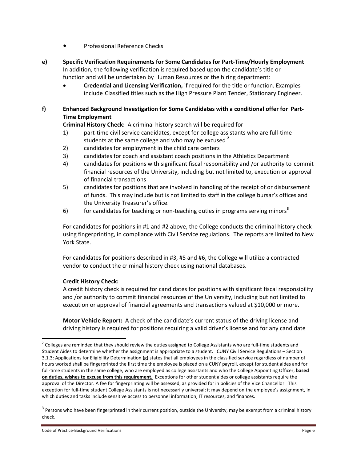- **•** Professional Reference Checks
- **e) Specific Verification Requirements for Some Candidates for Part‐Time/Hourly Employment** In addition, the following verification is required based upon the candidate's title or function and will be undertaken by Human Resources or the hiring department:
	- **Credential and Licensing Verification,** if required for the title or function. Examples include Classified titles such as the High Pressure Plant Tender, Stationary Engineer.

# **f) Enhanced Background Investigation for Some Candidates with a conditional offer for Part‐ Time Employment**

**Criminal History Check:** A criminal history search will be required for

- 1) part‐time civil service candidates, except for college assistants who are full‐time students at the same college and who may be excused **<sup>2</sup>**
- 2) candidates for employment in the child care centers
- 3) candidates for coach and assistant coach positions in the Athletics Department
- 4) candidates for positions with significant fiscal responsibility and /or authority to commit financial resources of the University, including but not limited to, execution or approval of financial transactions
- 5) candidates for positions that are involved in handling of the receipt of or disbursement of funds. This may include but is not limited to staff in the college bursar's offices and the University Treasurer's office.
- 6) for candidates for teaching or non‐teaching duties in programs serving minors**<sup>3</sup>**

For candidates for positions in #1 and #2 above, the College conducts the criminal history check using fingerprinting, in compliance with Civil Service regulations. The reports are limited to New York State.

For candidates for positions described in #3, #5 and #6, the College will utilize a contracted vendor to conduct the criminal history check using national databases.

# **Credit History Check:**

A credit history check is required for candidates for positions with significant fiscal responsibility and /or authority to commit financial resources of the University, including but not limited to execution or approval of financial agreements and transactions valued at \$10,000 or more.

**Motor Vehicle Report:** A check of the candidate's current status of the driving license and driving history is required for positions requiring a valid driver's license and for any candidate

 $2$  Colleges are reminded that they should review the duties assigned to College Assistants who are full-time students and Student Aides to determine whether the assignment is appropriate to a student. CUNY Civil Service Regulations – Section 3.1.3: Applications for Eligibility Determination **(g)** states that all employees in the classified service regardless of number of hours worked shall be fingerprinted the first time the employee is placed on a CUNY payroll, except for student aides and for full-time students in the same college, who are employed as college assistants and who the College Appointing Officer, **based on duties, wishes to excuse from this requirement.** Exceptions for other student aides or college assistants require the approval of the Director. A fee for fingerprinting will be assessed, as provided for in policies of the Vice Chancellor. This exception for full-time student College Assistants is not necessarily universal; it may depend on the employee's assignment, in which duties and tasks include sensitive access to personnel information, IT resources, and finances.

 $3$  Persons who have been fingerprinted in their current position, outside the University, may be exempt from a criminal history check.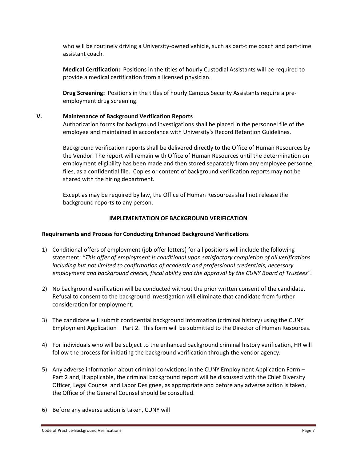who will be routinely driving a University-owned vehicle, such as part-time coach and part-time assistant coach.

**Medical Certification:** Positions in the titles of hourly Custodial Assistants will be required to provide a medical certification from a licensed physician.

**Drug Screening:** Positions in the titles of hourly Campus Security Assistants require a pre‐ employment drug screening.

#### **V. Maintenance of Background Verification Reports**

Authorization forms for background investigations shall be placed in the personnel file of the employee and maintained in accordance with University's Record Retention Guidelines.

Background verification reports shall be delivered directly to the Office of Human Resources by the Vendor. The report will remain with Office of Human Resources until the determination on employment eligibility has been made and then stored separately from any employee personnel files, as a confidential file. Copies or content of background verification reports may not be shared with the hiring department.

Except as may be required by law, the Office of Human Resources shall not release the background reports to any person.

#### **IMPLEMENTATION OF BACKGROUND VERIFICATION**

#### **Requirements and Process for Conducting Enhanced Background Verifications**

- 1) Conditional offers of employment (job offer letters) for all positions will include the following statement: *"This offer of employment is conditional upon satisfactory completion of all verifications including but not limited to confirmation of academic and professional credentials, necessary employment and background checks, fiscal ability and the approval by the CUNY Board of Trustees".*
- 2) No background verification will be conducted without the prior written consent of the candidate. Refusal to consent to the background investigation will eliminate that candidate from further consideration for employment.
- 3) The candidate will submit confidential background information (criminal history) using the CUNY Employment Application – Part 2. This form will be submitted to the Director of Human Resources.
- 4) For individuals who will be subject to the enhanced background criminal history verification, HR will follow the process for initiating the background verification through the vendor agency.
- 5) Any adverse information about criminal convictions in the CUNY Employment Application Form Part 2 and, if applicable, the criminal background report will be discussed with the Chief Diversity Officer, Legal Counsel and Labor Designee, as appropriate and before any adverse action is taken, the Office of the General Counsel should be consulted.
- 6) Before any adverse action is taken, CUNY will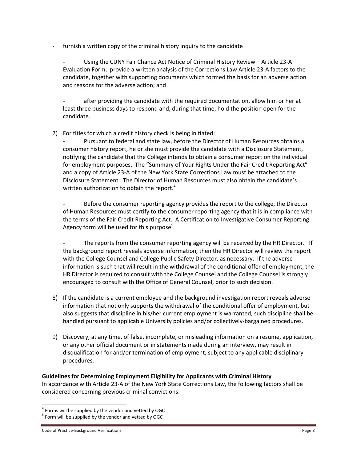furnish a written copy of the criminal history inquiry to the candidate

Using the CUNY Fair Chance Act Notice of Criminal History Review – Article 23-A Evaluation Form, provide a written analysis of the Corrections Law Article 23‐A factors to the candidate, together with supporting documents which formed the basis for an adverse action and reasons for the adverse action; and

after providing the candidate with the required documentation, allow him or her at least three business days to respond and, during that time, hold the position open for the candidate.

7) For titles for which a credit history check is being initiated:

Pursuant to federal and state law, before the Director of Human Resources obtains a consumer history report, he or she must provide the candidate with a Disclosure Statement, notifying the candidate that the College intends to obtain a consumer report on the individual for employment purposes. The "Summary of Your Rights Under the Fair Credit Reporting Act" and a copy of Article 23‐A of the New York State Corrections Law must be attached to the Disclosure Statement. The Director of Human Resources must also obtain the candidate's written authorization to obtain the report.<sup>4</sup>

Before the consumer reporting agency provides the report to the college, the Director of Human Resources must certify to the consumer reporting agency that it is in compliance with the terms of the Fair Credit Reporting Act. A Certification to Investigative Consumer Reporting Agency form will be used for this purpose<sup>5</sup>.

The reports from the consumer reporting agency will be received by the HR Director. If the background report reveals adverse information, then the HR Director will review the report with the College Counsel and College Public Safety Director, as necessary. If the adverse information is such that will result in the withdrawal of the conditional offer of employment, the HR Director is required to consult with the College Counsel and the College Counsel is strongly encouraged to consult with the Office of General Counsel, prior to such decision.

- 8) If the candidate is a current employee and the background investigation report reveals adverse information that not only supports the withdrawal of the conditional offer of employment, but also suggests that discipline in his/her current employment is warranted, such discipline shall be handled pursuant to applicable University policies and/or collectively‐bargained procedures.
- 9) Discovery, at any time, of false, incomplete, or misleading information on a resume, application, or any other official document or in statements made during an interview, may result in disqualification for and/or termination of employment, subject to any applicable disciplinary procedures.

## **Guidelines for Determining Employment Eligibility for Applicants with Criminal History**  In accordance with Article 23‐A of the New York State Corrections Law, the following factors shall be considered concerning previous criminal convictions:

 $^4$  Forms will be supplied by the vendor and vetted by OGC  $^5$  Form will be supplied by the vendor and vetted by OGC

Code of Practice-Background Verifications Page 8